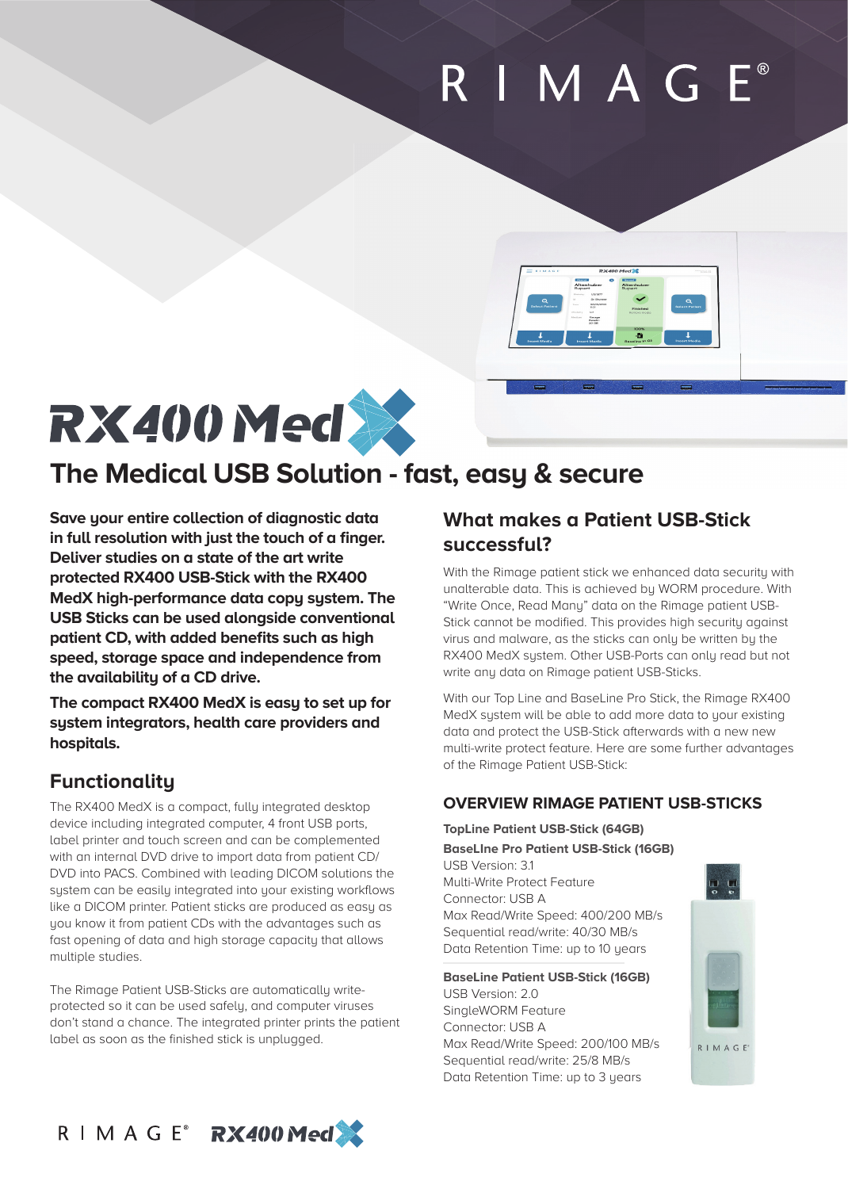# RIMAG



## **RX400 Med >>>>>>>>>**

## **The Medical USB Solution - fast, easy & secure**

**Save your entire collection of diagnostic data**  in full resolution with just the touch of a finger. **Deliver studies on a state of the art write protected RX400 USB-Stick with the RX400 MedX high-performance data copy system. The USB Sticks can be used alongside conventional**  patient CD, with added benefits such as high **speed, storage space and independence from the availability of a CD drive.** 

**The compact RX400 MedX is easy to set up for system integrators, health care providers and hospitals.** 

## **Functionality**

The RX400 MedX is a compact, fully integrated desktop device including integrated computer, 4 front USB ports, label printer and touch screen and can be complemented with an internal DVD drive to import data from patient CD/ DVD into PACS. Combined with leading DICOM solutions the system can be easily integrated into your existing workflows like a DICOM printer. Patient sticks are produced as easy as you know it from patient CDs with the advantages such as fast opening of data and high storage capacity that allows multiple studies.

The Rimage Patient USB-Sticks are automatically writeprotected so it can be used safely, and computer viruses don't stand a chance. The integrated printer prints the patient label as soon as the finished stick is unplugged.

## **What makes a Patient USB-Stick successful?**

With the Rimage patient stick we enhanced data security with unalterable data. This is achieved by WORM procedure. With "Write Once, Read Many" data on the Rimage patient USB-Stick cannot be modified. This provides high security against virus and malware, as the sticks can only be written by the RX400 MedX system. Other USB-Ports can only read but not write any data on Rimage patient USB-Sticks.

With our Top Line and BaseLine Pro Stick, the Rimage RX400 MedX system will be able to add more data to your existing data and protect the USB-Stick afterwards with a new new multi-write protect feature. Here are some further advantages of the Rimage Patient USB-Stick:

### **OVERVIEW RIMAGE PATIENT USB-STICKS**

**TopLine Patient USB-Stick (64GB) BaseLIne Pro Patient USB-Stick (16GB)**

USB Version: 3.1 Multi-Write Protect Feature Connector: USB A Max Read/Write Speed: 400/200 MB/s Sequential read/write: 40/30 MB/s Data Retention Time: up to 10 years

**BaseLine Patient USB-Stick (16GB)**

USB Version: 2.0 SingleWORM Feature Connector: USB A Max Read/Write Speed: 200/100 MB/s Sequential read/write: 25/8 MB/s Data Retention Time: up to 3 years